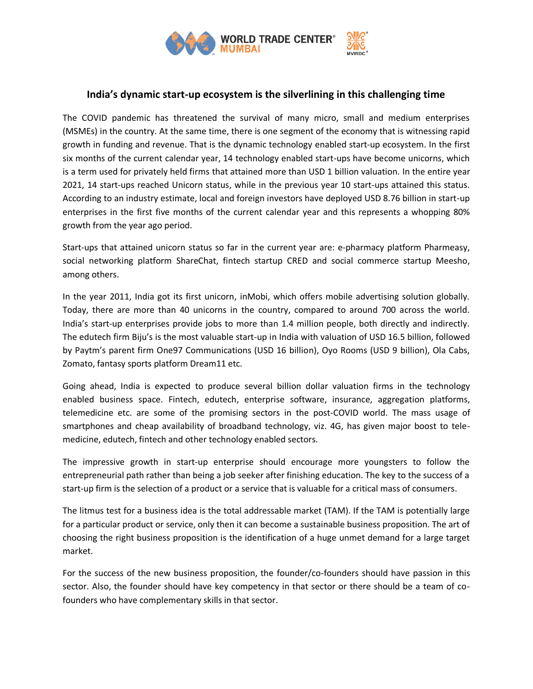

## **India's dynamic start-up ecosystem is the silverlining in this challenging time**

The COVID pandemic has threatened the survival of many micro, small and medium enterprises (MSMEs) in the country. At the same time, there is one segment of the economy that is witnessing rapid growth in funding and revenue. That is the dynamic technology enabled start-up ecosystem. In the first six months of the current calendar year, 14 technology enabled start-ups have become unicorns, which is a term used for privately held firms that attained more than USD 1 billion valuation. In the entire year 2021, 14 start-ups reached Unicorn status, while in the previous year 10 start-ups attained this status. According to an industry estimate, local and foreign investors have deployed USD 8.76 billion in start-up enterprises in the first five months of the current calendar year and this represents a whopping 80% growth from the year ago period.

Start-ups that attained unicorn status so far in the current year are: e-pharmacy platform Pharmeasy, social networking platform ShareChat, fintech startup CRED and social commerce startup Meesho, among others.

In the year 2011, India got its first unicorn, inMobi, which offers mobile advertising solution globally. Today, there are more than 40 unicorns in the country, compared to around 700 across the world. India's start-up enterprises provide jobs to more than 1.4 million people, both directly and indirectly. The edutech firm Biju's is the most valuable start-up in India with valuation of USD 16.5 billion, followed by Paytm's parent firm One97 Communications (USD 16 billion), Oyo Rooms (USD 9 billion), Ola Cabs, Zomato, fantasy sports platform Dream11 etc.

Going ahead, India is expected to produce several billion dollar valuation firms in the technology enabled business space. Fintech, edutech, enterprise software, insurance, aggregation platforms, telemedicine etc. are some of the promising sectors in the post-COVID world. The mass usage of smartphones and cheap availability of broadband technology, viz. 4G, has given major boost to telemedicine, edutech, fintech and other technology enabled sectors.

The impressive growth in start-up enterprise should encourage more youngsters to follow the entrepreneurial path rather than being a job seeker after finishing education. The key to the success of a start-up firm is the selection of a product or a service that is valuable for a critical mass of consumers.

The litmus test for a business idea is the total addressable market (TAM). If the TAM is potentially large for a particular product or service, only then it can become a sustainable business proposition. The art of choosing the right business proposition is the identification of a huge unmet demand for a large target market.

For the success of the new business proposition, the founder/co-founders should have passion in this sector. Also, the founder should have key competency in that sector or there should be a team of cofounders who have complementary skills in that sector.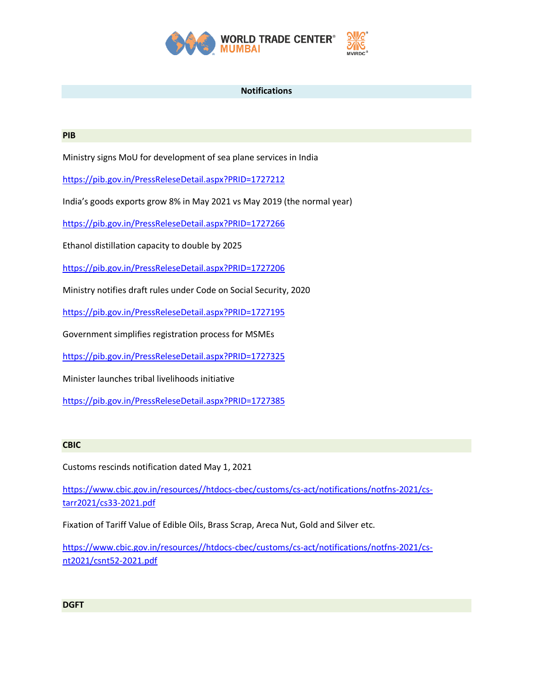

## **Notifications**

## **PIB**

Ministry signs MoU for development of sea plane services in India

<https://pib.gov.in/PressReleseDetail.aspx?PRID=1727212>

India's goods exports grow 8% in May 2021 vs May 2019 (the normal year)

[https://pib.gov.in/PressReleseDetail.aspx?PRID=1727266](https://pib.gov.in/PressReleseDetail.aspx?PRID=1727266/)

Ethanol distillation capacity to double by 2025

<https://pib.gov.in/PressReleseDetail.aspx?PRID=1727206>

Ministry notifies draft rules under Code on Social Security, 2020

<https://pib.gov.in/PressReleseDetail.aspx?PRID=1727195>

Government simplifies registration process for MSMEs

<https://pib.gov.in/PressReleseDetail.aspx?PRID=1727325>

Minister launches tribal livelihoods initiative

<https://pib.gov.in/PressReleseDetail.aspx?PRID=1727385>

## **CBIC**

Customs rescinds notification dated May 1, 2021

[https://www.cbic.gov.in/resources//htdocs-cbec/customs/cs-act/notifications/notfns-2021/cs](https://www.cbic.gov.in/resources/htdocs-cbec/customs/cs-act/notifications/notfns-2021/cs-tarr2021/cs33-2021.pdf)[tarr2021/cs33-2021.pdf](https://www.cbic.gov.in/resources/htdocs-cbec/customs/cs-act/notifications/notfns-2021/cs-tarr2021/cs33-2021.pdf)

Fixation of Tariff Value of Edible Oils, Brass Scrap, Areca Nut, Gold and Silver etc.

[https://www.cbic.gov.in/resources//htdocs-cbec/customs/cs-act/notifications/notfns-2021/cs](https://www.cbic.gov.in/resources/htdocs-cbec/customs/cs-act/notifications/notfns-2021/cs-nt2021/csnt52-2021.pdf)[nt2021/csnt52-2021.pdf](https://www.cbic.gov.in/resources/htdocs-cbec/customs/cs-act/notifications/notfns-2021/cs-nt2021/csnt52-2021.pdf)

**DGFT**